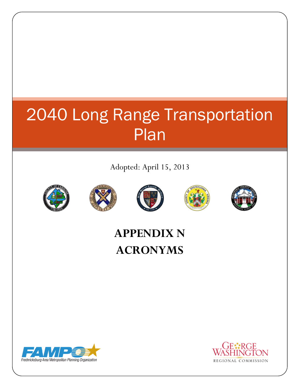## 2040 Long Range Transportation Plan

Adopted: April 15, 2013











## **APPENDIX N ACRONYMS**



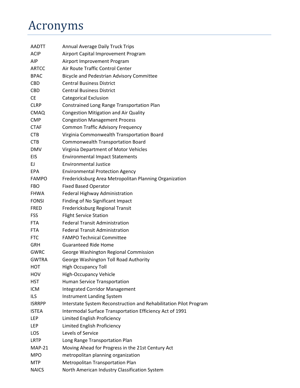## Acronyms

| <b>AADTT</b>  | <b>Annual Average Daily Truck Trips</b>                           |
|---------------|-------------------------------------------------------------------|
| <b>ACIP</b>   | Airport Capital Improvement Program                               |
| AIP           | Airport Improvement Program                                       |
| <b>ARTCC</b>  | Air Route Traffic Control Center                                  |
| <b>BPAC</b>   | Bicycle and Pedestrian Advisory Committee                         |
| <b>CBD</b>    | <b>Central Business District</b>                                  |
| <b>CBD</b>    | <b>Central Business District</b>                                  |
| <b>CE</b>     | <b>Categorical Exclusion</b>                                      |
| <b>CLRP</b>   | Constrained Long Range Transportation Plan                        |
| <b>CMAQ</b>   | <b>Congestion Mitigation and Air Quality</b>                      |
| <b>CMP</b>    | <b>Congestion Management Process</b>                              |
| <b>CTAF</b>   | <b>Common Traffic Advisory Frequency</b>                          |
| <b>CTB</b>    | Virginia Commonwealth Transportation Board                        |
| <b>CTB</b>    | <b>Commonwealth Transportation Board</b>                          |
| <b>DMV</b>    | Virginia Department of Motor Vehicles                             |
| EIS           | <b>Environmental Impact Statements</b>                            |
| EJ            | <b>Environmental Justice</b>                                      |
| <b>EPA</b>    | <b>Environmental Protection Agency</b>                            |
| <b>FAMPO</b>  | Fredericksburg Area Metropolitan Planning Organization            |
| <b>FBO</b>    | <b>Fixed Based Operator</b>                                       |
| <b>FHWA</b>   | Federal Highway Administration                                    |
| <b>FONSI</b>  | Finding of No Significant Impact                                  |
| <b>FRED</b>   | Fredericksburg Regional Transit                                   |
| FSS           | <b>Flight Service Station</b>                                     |
| <b>FTA</b>    | <b>Federal Transit Administration</b>                             |
| <b>FTA</b>    | <b>Federal Transit Administration</b>                             |
| <b>FTC</b>    | <b>FAMPO Technical Committee</b>                                  |
| <b>GRH</b>    | <b>Guaranteed Ride Home</b>                                       |
| GWRC          | George Washington Regional Commission                             |
| <b>GWTRA</b>  | George Washington Toll Road Authority                             |
| нот           | <b>High Occupancy Toll</b>                                        |
| HOV           | <b>High-Occupancy Vehicle</b>                                     |
| <b>HST</b>    | Human Service Transportation                                      |
| <b>ICM</b>    | <b>Integrated Corridor Management</b>                             |
| <b>ILS</b>    | <b>Instrument Landing System</b>                                  |
| <b>ISRRPP</b> | Interstate System Reconstruction and Rehabilitation Pilot Program |
| <b>ISTEA</b>  | Intermodal Surface Transportation Efficiency Act of 1991          |
| LEP           | Limited English Proficiency                                       |
| <b>LEP</b>    | Limited English Proficiency                                       |
| LOS           | Levels of Service                                                 |
| <b>LRTP</b>   | Long Range Transportation Plan                                    |
| <b>MAP-21</b> | Moving Ahead for Progress in the 21st Century Act                 |
| <b>MPO</b>    | metropolitan planning organization                                |
| <b>MTP</b>    | Metropolitan Transportation Plan                                  |
| <b>NAICS</b>  | North American Industry Classification System                     |